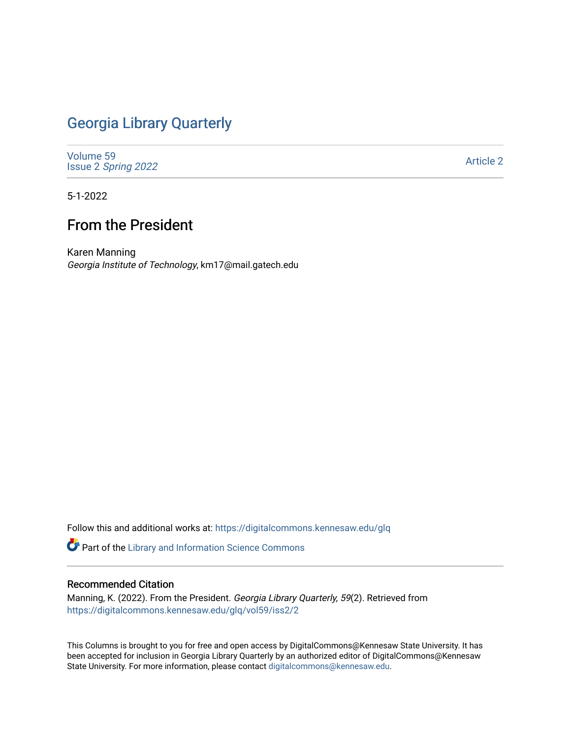## [Georgia Library Quarterly](https://digitalcommons.kennesaw.edu/glq)

[Volume 59](https://digitalcommons.kennesaw.edu/glq/vol59) Issue 2 [Spring 2022](https://digitalcommons.kennesaw.edu/glq/vol59/iss2) 

[Article 2](https://digitalcommons.kennesaw.edu/glq/vol59/iss2/2) 

5-1-2022

## From the President

Karen Manning Georgia Institute of Technology, km17@mail.gatech.edu

Follow this and additional works at: [https://digitalcommons.kennesaw.edu/glq](https://digitalcommons.kennesaw.edu/glq?utm_source=digitalcommons.kennesaw.edu%2Fglq%2Fvol59%2Fiss2%2F2&utm_medium=PDF&utm_campaign=PDFCoverPages) 

Part of the [Library and Information Science Commons](http://network.bepress.com/hgg/discipline/1018?utm_source=digitalcommons.kennesaw.edu%2Fglq%2Fvol59%2Fiss2%2F2&utm_medium=PDF&utm_campaign=PDFCoverPages) 

## Recommended Citation

Manning, K. (2022). From the President. Georgia Library Quarterly, 59(2). Retrieved from [https://digitalcommons.kennesaw.edu/glq/vol59/iss2/2](https://digitalcommons.kennesaw.edu/glq/vol59/iss2/2?utm_source=digitalcommons.kennesaw.edu%2Fglq%2Fvol59%2Fiss2%2F2&utm_medium=PDF&utm_campaign=PDFCoverPages) 

This Columns is brought to you for free and open access by DigitalCommons@Kennesaw State University. It has been accepted for inclusion in Georgia Library Quarterly by an authorized editor of DigitalCommons@Kennesaw State University. For more information, please contact [digitalcommons@kennesaw.edu.](mailto:digitalcommons@kennesaw.edu)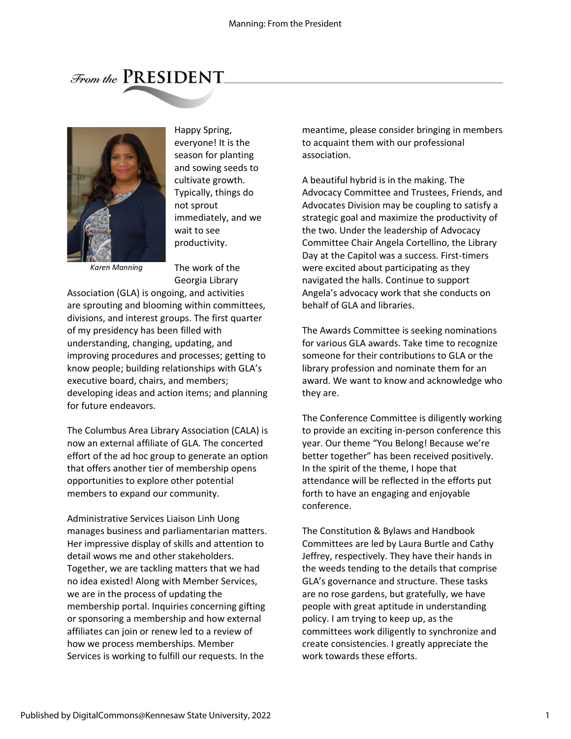## From the PRESIDENT



Happy Spring, everyone! It is the season for planting and sowing seeds to cultivate growth. Typically, things do not sprout immediately, and we wait to see productivity.

*Karen Manning*

The work of the Georgia Library

Association (GLA) is ongoing, and activities are sprouting and blooming within committees, divisions, and interest groups. The first quarter of my presidency has been filled with understanding, changing, updating, and improving procedures and processes; getting to know people; building relationships with GLA's executive board, chairs, and members; developing ideas and action items; and planning for future endeavors.

The Columbus Area Library Association (CALA) is now an external affiliate of GLA. The concerted effort of the ad hoc group to generate an option that offers another tier of membership opens opportunities to explore other potential members to expand our community.

Administrative Services Liaison Linh Uong manages business and parliamentarian matters. Her impressive display of skills and attention to detail wows me and other stakeholders. Together, we are tackling matters that we had no idea existed! Along with Member Services, we are in the process of updating the membership portal. Inquiries concerning gifting or sponsoring a membership and how external affiliates can join or renew led to a review of how we process memberships. Member Services is working to fulfill our requests. In the

meantime, please consider bringing in members to acquaint them with our professional association.

A beautiful hybrid is in the making. The Advocacy Committee and Trustees, Friends, and Advocates Division may be coupling to satisfy a strategic goal and maximize the productivity of the two. Under the leadership of Advocacy Committee Chair Angela Cortellino, the Library Day at the Capitol was a success. First-timers were excited about participating as they navigated the halls. Continue to support Angela's advocacy work that she conducts on behalf of GLA and libraries.

The Awards Committee is seeking nominations for various GLA awards. Take time to recognize someone for their contributions to GLA or the library profession and nominate them for an award. We want to know and acknowledge who they are.

The Conference Committee is diligently working to provide an exciting in-person conference this year. Our theme "You Belong! Because we're better together" has been received positively. In the spirit of the theme, I hope that attendance will be reflected in the efforts put forth to have an engaging and enjoyable conference.

The Constitution & Bylaws and Handbook Committees are led by Laura Burtle and Cathy Jeffrey, respectively. They have their hands in the weeds tending to the details that comprise GLA's governance and structure. These tasks are no rose gardens, but gratefully, we have people with great aptitude in understanding policy. I am trying to keep up, as the committees work diligently to synchronize and create consistencies. I greatly appreciate the work towards these efforts.